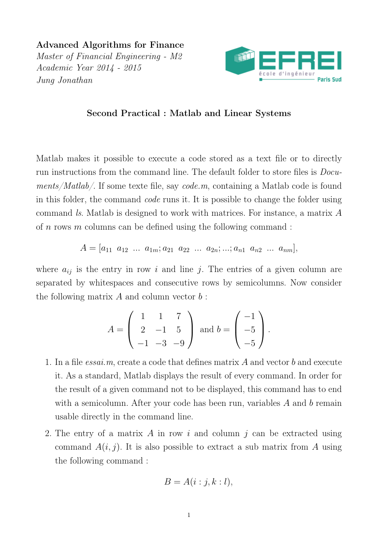Advanced Algorithms for Finance Master of Financial Engineering - M2 Academic Year 2014 - 2015 Jung Jonathan



## Second Practical : Matlab and Linear Systems

Matlab makes it possible to execute a code stored as a text file or to directly run instructions from the command line. The default folder to store files is Documents/Matlab/. If some texte file, say code.m, containing a Matlab code is found in this folder, the command code runs it. It is possible to change the folder using command ls. Matlab is designed to work with matrices. For instance, a matrix A of n rows m columns can be defined using the following command :

$$
A = [a_{11} \ a_{12} \ \ldots \ a_{1m}; a_{21} \ a_{22} \ \ldots \ a_{2n}; \ldots; a_{n1} \ a_{n2} \ \ldots \ a_{nm}],
$$

where  $a_{ij}$  is the entry in row i and line j. The entries of a given column are separated by whitespaces and consecutive rows by semicolumns. Now consider the following matrix  $A$  and column vector  $b$ :

$$
A = \begin{pmatrix} 1 & 1 & 7 \\ 2 & -1 & 5 \\ -1 & -3 & -9 \end{pmatrix} \text{ and } b = \begin{pmatrix} -1 \\ -5 \\ -5 \end{pmatrix}.
$$

- 1. In a file essai.m, create a code that defines matrix A and vector b and execute it. As a standard, Matlab displays the result of every command. In order for the result of a given command not to be displayed, this command has to end with a semicolumn. After your code has been run, variables  $A$  and  $b$  remain usable directly in the command line.
- 2. The entry of a matrix A in row i and column j can be extracted using command  $A(i, j)$ . It is also possible to extract a sub matrix from A using the following command :

$$
B = A(i : j, k : l),
$$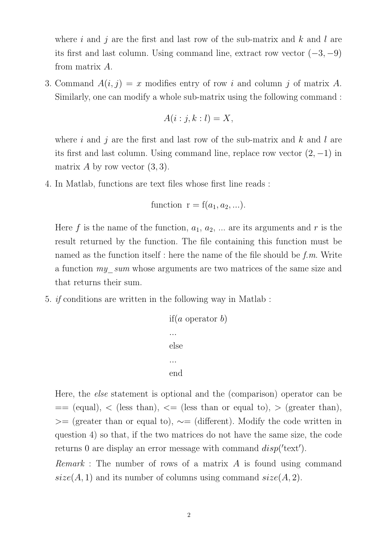where i and j are the first and last row of the sub-matrix and k and l are its first and last column. Using command line, extract row vector  $(-3, -9)$ from matrix A.

3. Command  $A(i, j) = x$  modifies entry of row i and column j of matrix A. Similarly, one can modify a whole sub-matrix using the following command :

$$
A(i:j,k:l) = X,
$$

where i and j are the first and last row of the sub-matrix and k and l are its first and last column. Using command line, replace row vector  $(2, -1)$  in matrix A by row vector  $(3, 3)$ .

4. In Matlab, functions are text files whose first line reads :

function 
$$
r = f(a_1, a_2, ...).
$$

Here f is the name of the function,  $a_1, a_2, \ldots$  are its arguments and r is the result returned by the function. The file containing this function must be named as the function itself : here the name of the file should be  $f.m.$  Write a function my\_sum whose arguments are two matrices of the same size and that returns their sum.

5. if conditions are written in the following way in Matlab :

```
if(a operator b)
...
else
...
end
```
Here, the else statement is optional and the (comparison) operator can be  $=$  (equal), < (less than), < (less than or equal to), > (greater than), >= (greater than or equal to),  $\sim$ = (different). Modify the code written in question 4) so that, if the two matrices do not have the same size, the code returns 0 are display an error message with command  $disp('text')$ .

Remark : The number of rows of a matrix A is found using command  $size(A, 1)$  and its number of columns using command  $size(A, 2)$ .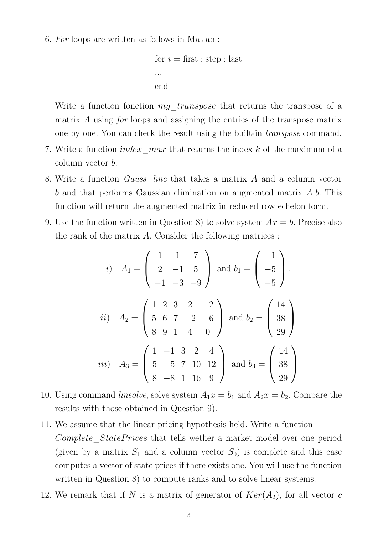6. For loops are written as follows in Matlab :

```
for i = first : step : last
...
end
```
Write a function fonction *my* transpose that returns the transpose of a matrix A using for loops and assigning the entries of the transpose matrix one by one. You can check the result using the built-in transpose command.

- 7. Write a function *index* max that returns the index k of the maximum of a column vector b.
- 8. Write a function Gauss\_line that takes a matrix A and a column vector b and that performs Gaussian elimination on augmented matrix  $A|b$ . This function will return the augmented matrix in reduced row echelon form.
- 9. Use the function written in Question 8) to solve system  $Ax = b$ . Precise also the rank of the matrix A. Consider the following matrices :

*i*) 
$$
A_1 = \begin{pmatrix} 1 & 1 & 7 \ 2 & -1 & 5 \ -1 & -3 & -9 \end{pmatrix}
$$
 and  $b_1 = \begin{pmatrix} -1 \ -5 \ -5 \end{pmatrix}$ .  
\n*ii*)  $A_2 = \begin{pmatrix} 1 & 2 & 3 & 2 & -2 \ 5 & 6 & 7 & -2 & -6 \ 8 & 9 & 1 & 4 & 0 \end{pmatrix}$  and  $b_2 = \begin{pmatrix} 14 \ 38 \ 29 \end{pmatrix}$   
\n*iii*)  $A_3 = \begin{pmatrix} 1 & -1 & 3 & 2 & 4 \ 5 & -5 & 7 & 10 & 12 \ 8 & -8 & 1 & 16 & 9 \end{pmatrix}$  and  $b_3 = \begin{pmatrix} 14 \ 38 \ 29 \end{pmatrix}$ 

- 10. Using command *linsolve*, solve system  $A_1x = b_1$  and  $A_2x = b_2$ . Compare the results with those obtained in Question 9).
- 11. We assume that the linear pricing hypothesis held. Write a function Complete StatePrices that tells wether a market model over one period (given by a matrix  $S_1$  and a column vector  $S_0$ ) is complete and this case computes a vector of state prices if there exists one. You will use the function written in Question 8) to compute ranks and to solve linear systems.
- 12. We remark that if N is a matrix of generator of  $Ker(A_2)$ , for all vector c